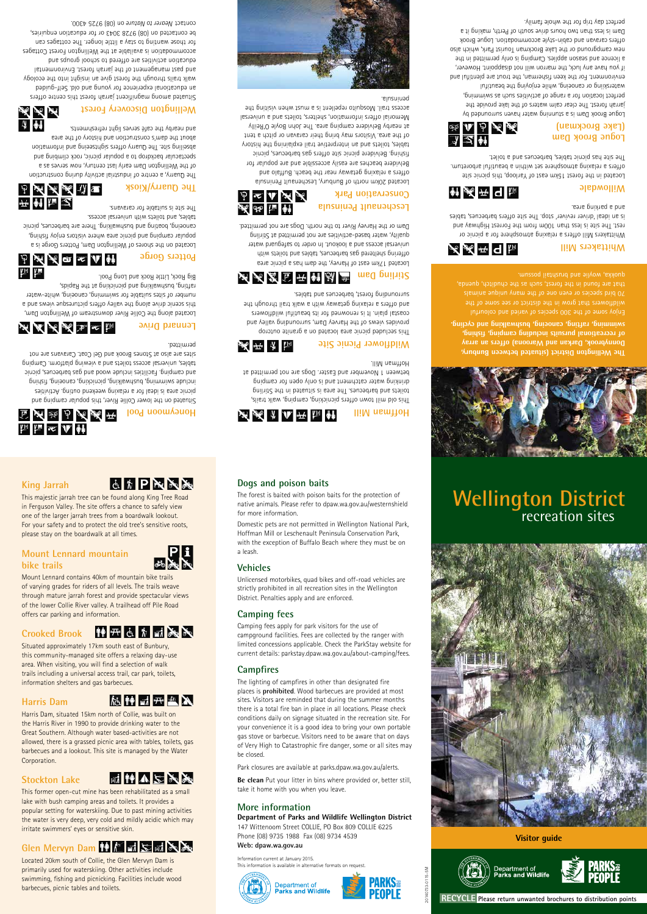**RECYCLE Please return unwanted brochures to distribution points**

20140733-0115-5M

**Visitor guide**





**The Wellington District (situated between Bunbury, Donnybrook, Darkan and Waroona) offers an array of recreational pursuits including camping, fishing, swimming, rafting, canoeing, bushwalking and cycling.**

Enjoy some of the 300 species of varied and colourful wildflowers that grow in the district or see some of the

# **Whittakers Mill**

Whittakers Mill offers a relaxing atmosphere for a picnic or rest. The site is less than 100m from the Forrest Highway and is an ideal 'driver reviver' stop. The site offers barbecues, tables and a parking area.

#### **Willowdale**

Located in the forest 15km east of Yarloop, this picnic site offers a relaxing atmosphere set within a beautiful arboretum. The site has picnic tables, barbecues and a toilet.

# 运工计系统

神系平日隔

人系 开日隔

This old mill town offers picnicking, camping, walk trails, toilets and barbecues. The area is situated in the Stirling drinking water catchment and is only open for camping between 1 November and Easter. Dogs are not permitted at

#### **Logue Brook Dam (Lake Brockman)**

Logue Brook Dam is a stunning water haven surrounded by jarrah forest. The clear calm waters of the lake provide the perfect location for a range of activities such as swimming, waterskiing or canoeing, while enjoying the beautiful environment. For the keen fisherman, the trout are plentiful and if you have any luck, the marron will not disappoint. However, and in the season applies. Camping is only not in the season is the new campground or the Lake Brockman Tourist Park, which also offers caravan and cabin-style accommodation. Logue Brook Dam is less than two hours drive south of Perth, making it a perfect day trip for the whole family.



**Hoffman Mill**

**ATAL ATE** Big Rock, Little Rock and Long Pool. rafting, bushwalking and picnicking at the Rapids, number of sites suitable for swimming, canoeing, white-water this scenic drive along the valley offers picturesque views and a Located along the Collie River downstream of Wellington Dam,

P ₩ № 60 ∞ V ₩

Hoffman Mill.





# **Wildflower Picnic Site**

美术家 and nearby the café serves light refreshments. about the dam's construction and history of the area abseiling site. The Quarry offers sightseeing and information spectacular backdrop to a popular picnic, rock climbing and of the Wellington Dam early last century, now serves as a The Quarry, a centre of industrial activity during construction

> This secluded picnic area located on a granite outcrop provides views of the Harvey Dam, surrounding valley and coastal plain. It is renowned for its beautiful wildflowers and offers a relaxing getaway with a walk trail through the surrounding forest, barbecues and tables.

# \* 人名富平 前函画





Situated among magnificent jarrah forest this centre offers an educational experience for young and old. Self-guided walk trails through the forest give an insight into the ecology and past management of the jarrah forest. Environmental education activities are offered to school groups and accommodation is available at the Wellington Forest Cottages for those wanting to stay a little longer. The cottages can be contacted on (08) 9728 3043 or for education enquiries, contact Mearer to Nature on (08) 9725 4300.

法函证前

Located 17km east of Harvey, the dam has a picnic area offering sheltered gas barbecues, tables and toilets with universal access and a lookout. In order to safeguard water quality, water based-activities are not permitted at Stirling Dam or the Harvey River to the north. Dogs are not permitted.

#### **Leschenault Peninsula Conservation Park**

### 静开占为动态 **Crooked Brook**

Located 20km north of Bunbury, Leschenault Peninsula offers a relaxing getaway near the beach. Buffalo and Belvidere beaches are easily accessible and are popular for fishing. Belvidere picnic site offers gas barbecues, picnic tables, toilets and an interpretive trail explaining the history of the area. Visitors may bring their caravan or pitch a tent at nearby Belvidere camping area. The John Boyle O'Reilly Memorial offers information, shelters, toilets and a universal access trail. Mosquito repellent is a must when visiting the peninsula.





# **Honeymoon Pool**

This former open-cut mine has been rehabilitated as a small lake with bush camping areas and toilets. It provides a popular setting for waterskiing. Due to past mining activities the water is very deep, very cold and mildly acidic which may irritate swimmers' eyes or sensitive skin.

## **Glen Mervyn Dam the Euril Servis Strategy of August 2018**

Situated on the lower Collie River, this popular camping and picnic area is ideal for a relaxing weekend outing. Activities include swimming, bushwalking, picnicking, canoeing, fishing and camping. Facilities include wood and gas barbecues, picnic tables, universal access toilets and a viewing platform. Camping sites are also at Stones Brook and Gel Coat. Caravans are not permitted.

# XXXXXX

#### **Lennard Drive**

### **Potters Gorge**

Located on the shores of Wellington Dam, Potters Gorge is a popular camping and picnic area where visitors enjoy fishing, canoeing, boating and bushwalking. There are barbecues, picnic tables, and toilets with universal access.

# 为不太的 开轴陆泛

The site is suitable for caravans.

### **The Quarry/Kiosk**

Information current at January 2015. This information is available in alternative formats on request





# **Wellington District** recreation sites



# **Wellington Discovery Forest**

# **King Jarrah**

This majestic jarrah tree can be found along King Tree Road in Ferguson Valley. The site offers a chance to safely view one of the larger jarrah trees from a boardwalk lookout. For your safety and to protect the old tree's sensitive roots,

please stay on the boardwalk at all times.

**Mount Lennard mountain**

**bike trails**



# 清美也无不 **Million Sec A. 种**

Mount Lennard contains 40km of mountain bike trails of varying grades for riders of all levels. The trails weave through mature jarrah forest and provide spectacular views of the lower Collie River valley. A trailhead off Pile Road offers car parking and information.

Situated approximately 17km south east of Bunbury, this community-managed site offers a relaxing day-use area. When visiting, you will find a selection of walk trails including a universal access trail, car park, toilets, information shelters and gas barbecues.

#### **Harris Dam**

### 施静动开血入

Harris Dam, situated 15km north of Collie, was built on the Harris River in 1990 to provide drinking water to the Great Southern. Although water based-activities are not allowed, there is a grassed picnic area with tables, toilets, gas barbecues and a lookout. This site is managed by the Water Corporation.

#### **Stockton Lake**

#### **耐静AIHXXX**

Located 20km south of Collie, the Glen Mervyn Dam is primarily used for waterskiing. Other activities include swimming, fishing and picnicking. Facilities include wood barbecues, picnic tables and toilets.

#### **Dogs and poison baits**

The forest is baited with poison baits for the protection of native animals. Please refer to dpaw.wa.gov.au/westernshield for more information.

Domestic pets are not permitted in Wellington National Park, Hoffman Mill or Leschenault Peninsula Conservation Park, with the exception of Buffalo Beach where they must be on a leash.

#### **Vehicles**

Unlicensed motorbikes, quad bikes and off-road vehicles are strictly prohibited in all recreation sites in the Wellington District. Penalties apply and are enforced.

### **Camping fees**

Camping fees apply for park visitors for the use of campground facilities. Fees are collected by the ranger with limited concessions applicable. Check the ParkStay website for current details: parkstay.dpaw.wa.gov.au/about-camping/fees.

**Campfires**

The lighting of campfires in other than designated fire

places is **prohibited**. Wood barbecues are provided at most sites. Visitors are reminded that during the summer months there is a total fire ban in place in all locations. Please check conditions daily on signage situated in the recreation site. For your convenience it is a good idea to bring your own portable gas stove or barbecue. Visitors need to be aware that on days of Very High to Catastrophic fire danger, some or all sites may be closed.

Park closures are available at parks.dpaw.wa.gov.au/alerts.

**Be clean** Put your litter in bins where provided or, better still, take it home with you when you leave.

#### **More information**

#### **Department of Parks and Wildlife Wellington District**

147 Wittenoom Street COLLIE, PO Box 809 COLLIE 6225 Phone (08) 9735 1988 Fax (08) 9734 4539 **Web: dpaw.wa.gov.au**